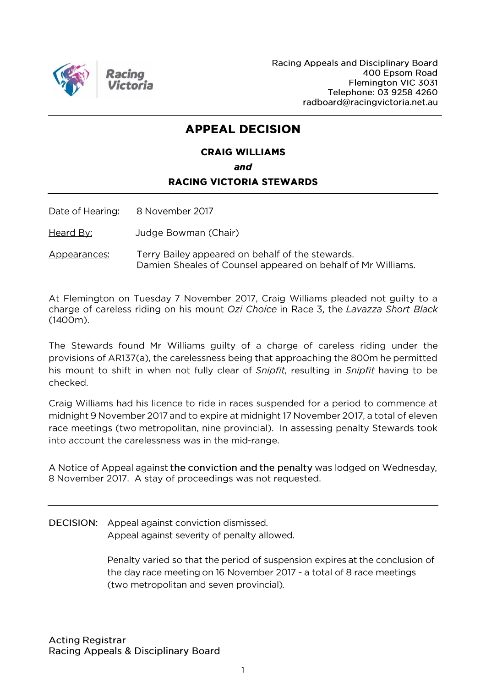

Racing Appeals and Disciplinary Board 400 Epsom Road Flemington VIC 3031 Telephone: 03 9258 4260 radboard@racingvictoria.net.au

### **APPEAL DECISION**

## **CRAIG WILLIAMS**

## and

### **RACING VICTORIA STEWARDS**

Date of Hearing: 8 November 2017

Judge Bowman (Chair) <u>Heard By:</u>

Terry Bailey appeared on behalf of the stewards. Appearances: Damien Sheales of Counsel appeared on behalf of Mr Williams.

At Flemington on Tuesday 7 November 2017, Craig Williams pleaded not guilty to a charge of careless riding on his mount Ozi Choice in Race 3, the Lavazza Short Black  $(1400m).$ 

The Stewards found Mr Williams guilty of a charge of careless riding under the provisions of AR137(a), the carelessness being that approaching the 800m he permitted his mount to shift in when not fully clear of Snipfit, resulting in Snipfit having to be checked.

Craig Williams had his licence to ride in races suspended for a period to commence at midnight 9 November 2017 and to expire at midnight 17 November 2017, a total of eleven race meetings (two metropolitan, nine provincial). In assessing penalty Stewards took into account the carelessness was in the mid-range.

A Notice of Appeal against the conviction and the penalty was lodged on Wednesday, 8 November 2017. A stay of proceedings was not requested.

**DECISION:** Appeal against conviction dismissed. Appeal against severity of penalty allowed.

> Penalty varied so that the period of suspension expires at the conclusion of the day race meeting on 16 November 2017 - a total of 8 race meetings (two metropolitan and seven provincial).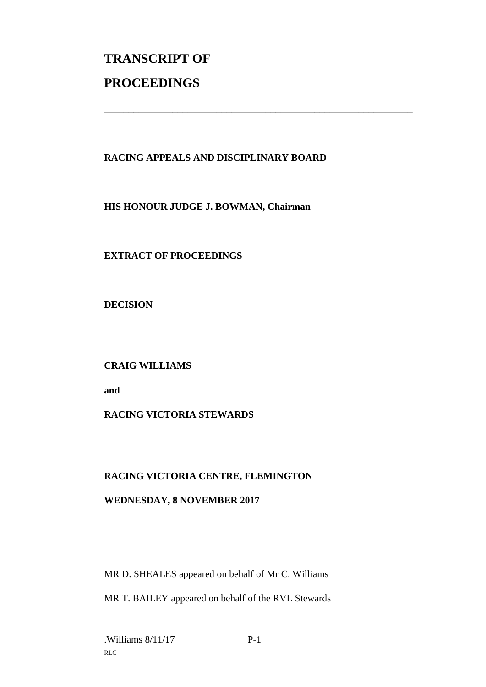# **TRANSCRIPT OF PROCEEDINGS**

### **RACING APPEALS AND DISCIPLINARY BOARD**

\_\_\_\_\_\_\_\_\_\_\_\_\_\_\_\_\_\_\_\_\_\_\_\_\_\_\_\_\_\_\_\_\_\_\_\_\_\_\_\_\_\_\_\_\_\_\_\_\_\_\_\_\_\_\_\_\_\_\_\_\_\_\_

**HIS HONOUR JUDGE J. BOWMAN, Chairman**

**EXTRACT OF PROCEEDINGS**

**DECISION**

**CRAIG WILLIAMS**

**and**

### **RACING VICTORIA STEWARDS**

### **RACING VICTORIA CENTRE, FLEMINGTON**

### **WEDNESDAY, 8 NOVEMBER 2017**

MR D. SHEALES appeared on behalf of Mr C. Williams

MR T. BAILEY appeared on behalf of the RVL Stewards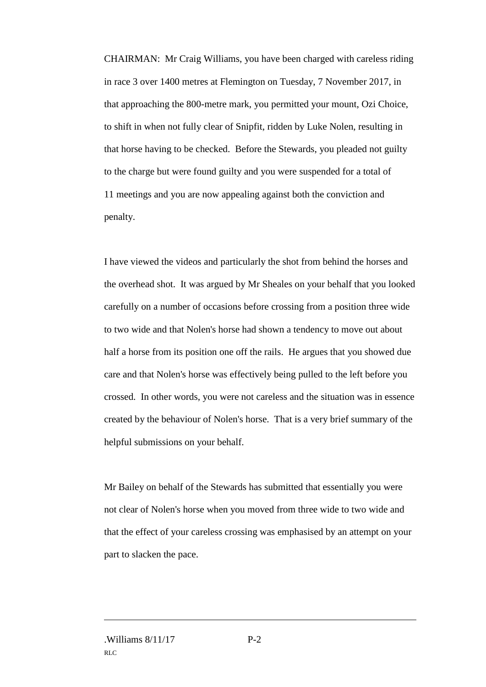CHAIRMAN: Mr Craig Williams, you have been charged with careless riding in race 3 over 1400 metres at Flemington on Tuesday, 7 November 2017, in that approaching the 800-metre mark, you permitted your mount, Ozi Choice, to shift in when not fully clear of Snipfit, ridden by Luke Nolen, resulting in that horse having to be checked. Before the Stewards, you pleaded not guilty to the charge but were found guilty and you were suspended for a total of 11 meetings and you are now appealing against both the conviction and penalty.

I have viewed the videos and particularly the shot from behind the horses and the overhead shot. It was argued by Mr Sheales on your behalf that you looked carefully on a number of occasions before crossing from a position three wide to two wide and that Nolen's horse had shown a tendency to move out about half a horse from its position one off the rails. He argues that you showed due care and that Nolen's horse was effectively being pulled to the left before you crossed. In other words, you were not careless and the situation was in essence created by the behaviour of Nolen's horse. That is a very brief summary of the helpful submissions on your behalf.

Mr Bailey on behalf of the Stewards has submitted that essentially you were not clear of Nolen's horse when you moved from three wide to two wide and that the effect of your careless crossing was emphasised by an attempt on your part to slacken the pace.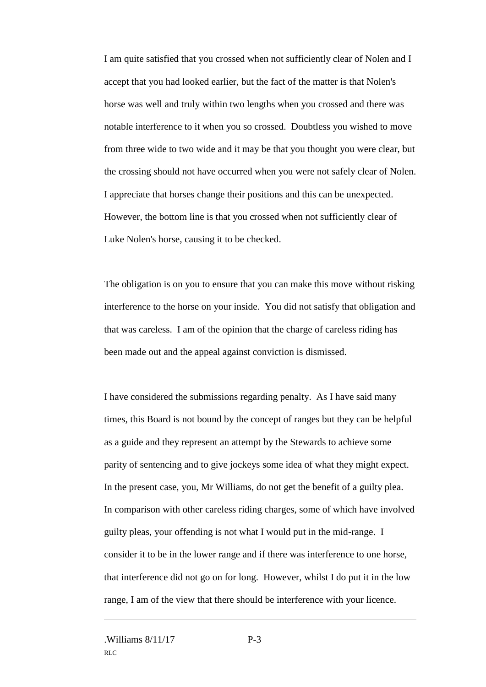I am quite satisfied that you crossed when not sufficiently clear of Nolen and I accept that you had looked earlier, but the fact of the matter is that Nolen's horse was well and truly within two lengths when you crossed and there was notable interference to it when you so crossed. Doubtless you wished to move from three wide to two wide and it may be that you thought you were clear, but the crossing should not have occurred when you were not safely clear of Nolen. I appreciate that horses change their positions and this can be unexpected. However, the bottom line is that you crossed when not sufficiently clear of Luke Nolen's horse, causing it to be checked.

The obligation is on you to ensure that you can make this move without risking interference to the horse on your inside. You did not satisfy that obligation and that was careless. I am of the opinion that the charge of careless riding has been made out and the appeal against conviction is dismissed.

I have considered the submissions regarding penalty. As I have said many times, this Board is not bound by the concept of ranges but they can be helpful as a guide and they represent an attempt by the Stewards to achieve some parity of sentencing and to give jockeys some idea of what they might expect. In the present case, you, Mr Williams, do not get the benefit of a guilty plea. In comparison with other careless riding charges, some of which have involved guilty pleas, your offending is not what I would put in the mid-range. I consider it to be in the lower range and if there was interference to one horse, that interference did not go on for long. However, whilst I do put it in the low range, I am of the view that there should be interference with your licence.